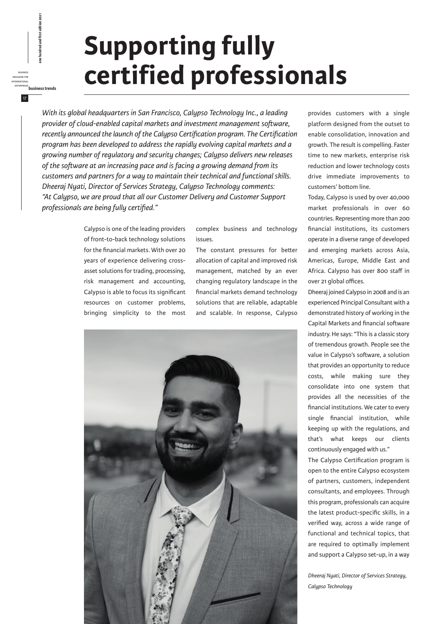## **Supporting fully certified professionals**

*With its global headquarters in San Francisco, Calypso Technology Inc., a leading provider of cloud-enabled capital markets and investment management software, recently announced the launch of the Calypso Certification program. The Certification program has been developed to address the rapidly evolving capital markets and a growing number of regulatory and security changes; Calypso delivers new releases of the software at an increasing pace and is facing a growing demand from its customers and partners for a way to maintain their technical and functional skills. Dheeraj Nyati, Director of Services Strategy, Calypso Technology comments: "At Calypso, we are proud that all our Customer Delivery and Customer Support professionals are being fully certified."*

> Calypso is one of the leading providers of front-to-back technology solutions for the financial markets. With over 20 years of experience delivering crossasset solutions for trading, processing, risk management and accounting, Calypso is able to focus its significant resources on customer problems, bringing simplicity to the most

business magazine for international

17

enterprises<br>**business business free hundred and first edition 2021**<br>*business*<br>EMERINATONAL<br>ENTERPRISES<br>ENTERPRISES<br>ENTERPRISES

complex business and technology issues.

The constant pressures for better allocation of capital and improved risk management, matched by an ever changing regulatory landscape in the financial markets demand technology solutions that are reliable, adaptable and scalable. In response, Calypso



provides customers with a single platform designed from the outset to enable consolidation, innovation and growth. The result is compelling. Faster time to new markets, enterprise risk reduction and lower technology costs drive immediate improvements to customers' bottom line.

Today, Calypso is used by over 40,000 market professionals in over 60 countries. Representing more than 200 financial institutions, its customers operate in a diverse range of developed and emerging markets across Asia, Americas, Europe, Middle East and Africa. Calypso has over 800 staff in over 21 global offices.

Dheeraj joined Calypso in 2008 and is an experienced Principal Consultant with a demonstrated history of working in the Capital Markets and financial software industry. He says: "This is a classic story of tremendous growth. People see the value in Calypso's software, a solution that provides an opportunity to reduce costs, while making sure they consolidate into one system that provides all the necessities of the financial institutions. We cater to every single financial institution, while keeping up with the regulations, and that's what keeps our clients continuously engaged with us."

The Calypso Certification program is open to the entire Calypso ecosystem of partners, customers, independent consultants, and employees. Through this program, professionals can acquire the latest product-specific skills, in a verified way, across a wide range of functional and technical topics, that are required to optimally implement and support a Calypso set-up, in a way

*Dheeraj Nyati, Director of Services Strategy, Calypso Technology*